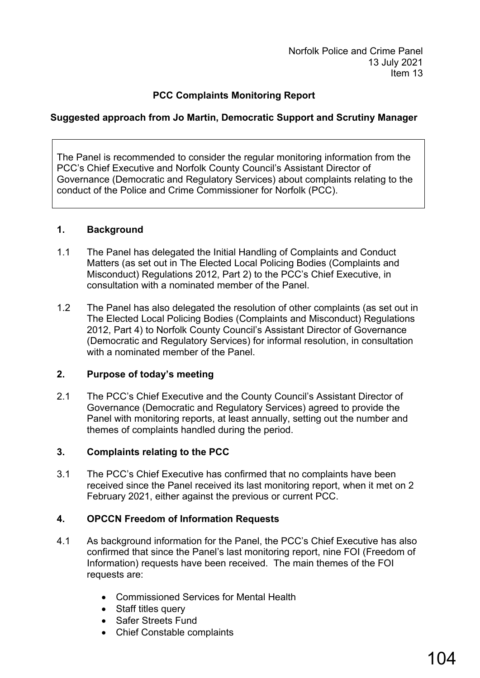Norfolk Police and Crime Panel 13 July 2021 Item 13

### **PCC Complaints Monitoring Report**

### **Suggested approach from Jo Martin, Democratic Support and Scrutiny Manager**

The Panel is recommended to consider the regular monitoring information from the PCC's Chief Executive and Norfolk County Council's Assistant Director of Governance (Democratic and Regulatory Services) about complaints relating to the conduct of the Police and Crime Commissioner for Norfolk (PCC).

#### **1. Background**

- 1.1 The Panel has delegated the Initial Handling of Complaints and Conduct Matters (as set out in The Elected Local Policing Bodies (Complaints and Misconduct) Regulations 2012, Part 2) to the PCC's Chief Executive, in consultation with a nominated member of the Panel.
- 1.2 The Panel has also delegated the resolution of other complaints (as set out in The Elected Local Policing Bodies (Complaints and Misconduct) Regulations 2012, Part 4) to Norfolk County Council's Assistant Director of Governance (Democratic and Regulatory Services) for informal resolution, in consultation with a nominated member of the Panel.

#### **2. Purpose of today's meeting**

2.1 The PCC's Chief Executive and the County Council's Assistant Director of Governance (Democratic and Regulatory Services) agreed to provide the Panel with monitoring reports, at least annually, setting out the number and themes of complaints handled during the period.

#### **3. Complaints relating to the PCC**

3.1 The PCC's Chief Executive has confirmed that no complaints have been received since the Panel received its last monitoring report, when it met on 2 February 2021, either against the previous or current PCC.

#### **4. OPCCN Freedom of Information Requests**

- 4.1 As background information for the Panel, the PCC's Chief Executive has also confirmed that since the Panel's last monitoring report, nine FOI (Freedom of Information) requests have been received. The main themes of the FOI requests are:
	- Commissioned Services for Mental Health
	- Staff titles query
	- Safer Streets Fund
	- Chief Constable complaints